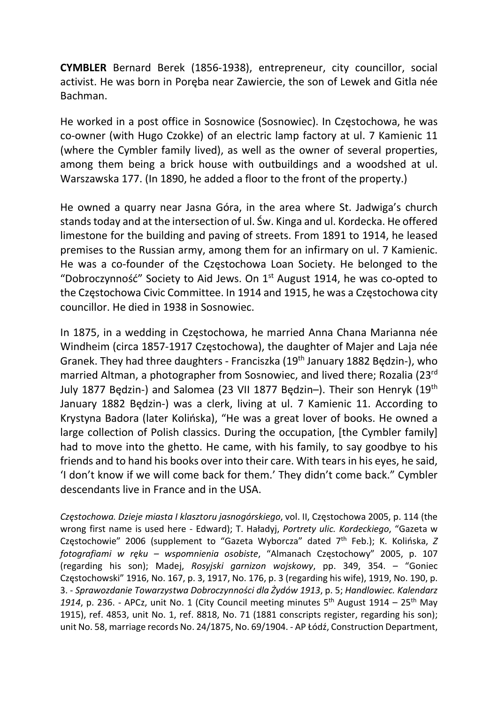CYMBLER Bernard Berek (1856-1938), entrepreneur, city councillor, social activist. He was born in Poręba near Zawiercie, the son of Lewek and Gitla née Bachman.

He worked in a post office in Sosnowice (Sosnowiec). In Częstochowa, he was co-owner (with Hugo Czokke) of an electric lamp factory at ul. 7 Kamienic 11 (where the Cymbler family lived), as well as the owner of several properties, among them being a brick house with outbuildings and a woodshed at ul. Warszawska 177. (In 1890, he added a floor to the front of the property.)

He owned a quarry near Jasna Góra, in the area where St. Jadwiga's church stands today and at the intersection of ul. Św. Kinga and ul. Kordecka. He offered limestone for the building and paving of streets. From 1891 to 1914, he leased premises to the Russian army, among them for an infirmary on ul. 7 Kamienic. He was a co-founder of the Częstochowa Loan Society. He belonged to the "Dobroczynność" Society to Aid Jews. On  $1<sup>st</sup>$  August 1914, he was co-opted to the Częstochowa Civic Committee. In 1914 and 1915, he was a Częstochowa city councillor. He died in 1938 in Sosnowiec.

In 1875, in a wedding in Częstochowa, he married Anna Chana Marianna née Windheim (circa 1857-1917 Częstochowa), the daughter of Majer and Laja née Granek. They had three daughters - Franciszka (19th January 1882 Będzin-), who married Altman, a photographer from Sosnowiec, and lived there; Rozalia (23rd July 1877 Będzin-) and Salomea (23 VII 1877 Będzin–). Their son Henryk (19th January 1882 Będzin-) was a clerk, living at ul. 7 Kamienic 11. According to Krystyna Badora (later Kolińska), "He was a great lover of books. He owned a large collection of Polish classics. During the occupation, [the Cymbler family] had to move into the ghetto. He came, with his family, to say goodbye to his friends and to hand his books over into their care. With tears in his eyes, he said, 'I don't know if we will come back for them.' They didn't come back." Cymbler descendants live in France and in the USA.

Częstochowa. Dzieje miasta I klasztoru jasnogórskiego, vol. II, Częstochowa 2005, p. 114 (the wrong first name is used here - Edward); T. Haładyj, Portrety ulic. Kordeckiego, "Gazeta w Częstochowie" 2006 (supplement to "Gazeta Wyborcza" dated  $7<sup>th</sup>$  Feb.); K. Kolińska, Z fotografiami w ręku – wspomnienia osobiste, "Almanach Częstochowy" 2005, p. 107 (regarding his son); Madej, Rosyjski garnizon wojskowy, pp. 349, 354. – "Goniec Częstochowski" 1916, No. 167, p. 3, 1917, No. 176, p. 3 (regarding his wife), 1919, No. 190, p. 3. - Sprawozdanie Towarzystwa Dobroczynności dla Żydów 1913, p. 5; Handlowiec. Kalendarz 1914, p. 236. - APCz, unit No. 1 (City Council meeting minutes  $5<sup>th</sup>$  August 1914 – 25<sup>th</sup> May 1915), ref. 4853, unit No. 1, ref. 8818, No. 71 (1881 conscripts register, regarding his son); unit No. 58, marriage records No. 24/1875, No. 69/1904. - AP Łódź, Construction Department,